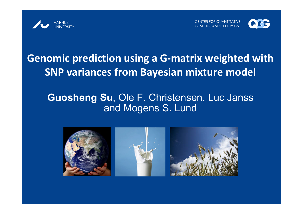



# **Genomic prediction using <sup>a</sup> G‐matrix weighted with SNP variances from Bayesian mixture model**

### **Guosheng Su**, Ole F. Christensen, Luc Janss and Mogens S. Lund

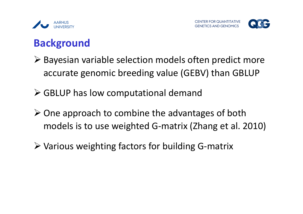



## **Background**

- Bayesian variable selection models often predict more accurate genomic breeding value (GEBV) than GBLUP
- GBLUP has low computational demand
- $\triangleright$  One approach to combine the advantages of both models is to use weighted G‐matrix (Zhang et al. 2010)
- Various weighting factors for building G‐matrix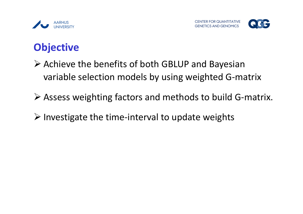



### **Objective**

- Achieve the benefits of both GBLUP and Bayesian variable selection models by using weighted G‐matrix
- Assess weighting factors and methods to build G‐matrix.
- Investigate the time‐interval to update weights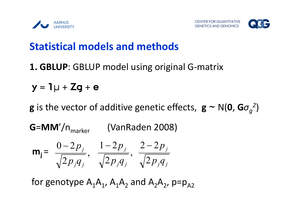



## **Statistical models and methods**

### **1. GBLUP**: GBLUP model using original G‐matrix

$$
y = 1\mu + Zg + e
$$

**g** is the vector of additive genetic effects,  $\mathbf{g} \sim N(\mathbf{0}, \mathbf{G}\sigma_{q}^{2})$ 

**G=MM'/**n<sub>marker</sub> (VanRaden 2008)  $\overline{2 p_{,} q_{_{\,}}}\,$  $0 - 2$ *j j j*  $p_{i}q$  *p*  $\overline{2 p_{,} q_{_{\,}}}\,$  $1 - 2$ *j j j*  $p_{i}q$  *p j j j*  $p_{i}q$ *p* 2  $2 - 2$  $\mathsf{m_{j}}$  =

for genotype  $\mathsf{A}_1\mathsf{A}_1$ ,  $\mathsf{A}_1\mathsf{A}_2$  and  $\mathsf{A}_2\mathsf{A}_2$ , p=p<sub>A2</sub>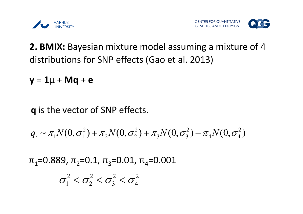



### **2. BMIX:** Bayesian mixture model assuming <sup>a</sup> mixture of 4 distributions for SNP effects (Gao et al. 2013)

**y** <sup>=</sup> **1**μ <sup>+</sup> **Mq** <sup>+</sup> **<sup>e</sup>**

q is the vector of SNP effects.

$$
q_{i} \sim \pi_{1} N(0, \sigma_{1}^{2}) + \pi_{2} N(0, \sigma_{2}^{2}) + \pi_{3} N(0, \sigma_{3}^{2}) + \pi_{4} N(0, \sigma_{4}^{2})
$$

 $\pi_1$ =0.889,  $\pi_2$ =0.1,  $\pi_3$ =0.01,  $\pi_4$ =0.001

$$
\sigma_1^2 < \sigma_2^2 < \sigma_3^2 < \sigma_4^2
$$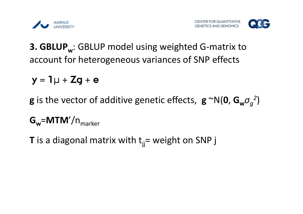



### **3. GBLUP**<sub>w</sub>: GBLUP model using weighted G-matrix to account for heterogeneous variances of SNP effects

$$
y = 1\mu + Zg + e
$$

- **g** is the vector of additive genetic effects,  $\mathbf{g} \sim N(\mathbf{0}, \mathbf{G_w}\sigma_q^2)$
- $G_w = M T M'/n_{\text{matter}}$
- **T** is a diagonal matrix with  $t_{jj}=$  weight on SNP j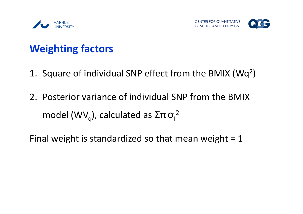



# **Weighting factors**

- 1. Square of individual SNP effect from the BMIX (Wq2)
- 2. Posterior variance of individual SNP from the BMIX model (WV<sub>q</sub>), calculated as  $\rm \Sigma\pi_{i}\sigma_{i}^2$

Final weight is standardized so that mean weight <sup>=</sup> 1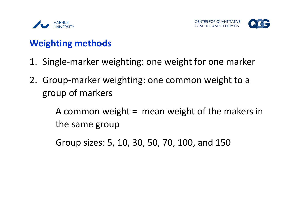



### **Weighting methods**

- 1. Single‐marker weighting: one weight for one marker
- 2. Group‐marker weighting: one common weight to <sup>a</sup> group of markers

A common weight <sup>=</sup> mean weight of the makers in the same group

Group sizes: 5, 10, 30, 50, 70, 100, and 150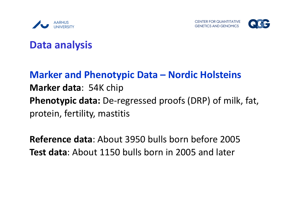



### **Data analysis**

## **Marker and Phenotypic Data – Nordic Holsteins Marker data**: 54K chip **Phenotypic data:** De‐regressed proofs (DRP) of milk, fat, protein, fertility, mastitis

**Reference data**: About 3950 bulls born before 2005 **Test data**: About 1150 bulls born in 2005 and later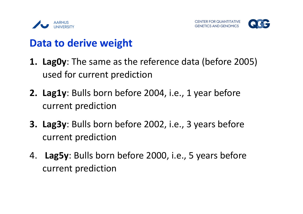



## **Data to derive weight**

- **1. Lag0y**: The same as the reference data (before 2005) used for current prediction
- **2. Lag1y**: Bulls born before 2004, i.e., 1 year before current prediction
- **3. Lag3y**: Bulls born before 2002, i.e., 3 years before current prediction
- 4. **Lag5y**: Bulls born before 2000, i.e., 5 years before current prediction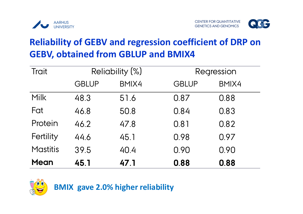



### **Reliability of GEBV and regression coefficient of DRP on GEBV, obtained from GBLUP and BMIX4**

| Trait           |              | <b>Reliability (%)</b> | Regression   |       |  |
|-----------------|--------------|------------------------|--------------|-------|--|
|                 | <b>GBLUP</b> | BMIX4                  | <b>GBLUP</b> | BMIX4 |  |
| <b>Milk</b>     | 48.3         | 51.6                   | 0.87         | 0.88  |  |
| Fat             | 46.8         | 50.8                   | 0.84         | 0.83  |  |
| Protein         | 46.2         | 47.8                   | 0.81         | 0.82  |  |
| Fertility       | 44.6         | 45.1                   | 0.98         | 0.97  |  |
| <b>Mastitis</b> | 39.5         | 40.4                   | 0.90         | 0.90  |  |
| <b>Mean</b>     | 45.1         | 47.1                   | 0.88         | 0.88  |  |



**BMIX gave 2.0% higher reliability**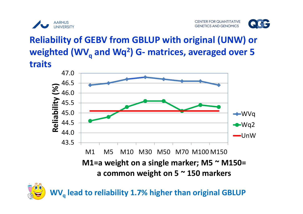



## **Reliability of GEBV from GBLUP with original (UNW) or weighted (WVq and Wq2) <sup>G</sup>‐ matrices, averaged over <sup>5</sup> traits**





**WVq lead to reliability 1.7% higher than original GBLUP**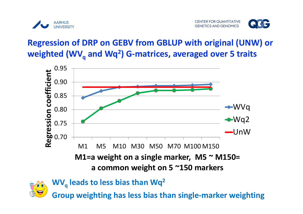



#### **Regression of DRP on GEBV from GBLUP with original (UNW) or weighted (WVq and Wq2) <sup>G</sup>‐matrices, averaged over <sup>5</sup> traits**





**Group weighting has less bias than single‐marker weighting**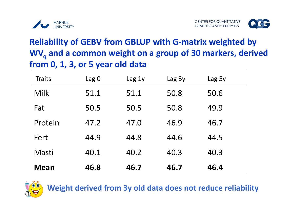



### **Reliability of GEBV from GBLUP with G‐matrix weighted by WVq and <sup>a</sup> common weight on <sup>a</sup> group of <sup>30</sup> markers, derived from 0, 1, 3, or 5 year old data**

| <b>Traits</b> | Lag <sub>0</sub> | Lag <sub>1y</sub> | Lag <sub>3y</sub> | Lag 5y |
|---------------|------------------|-------------------|-------------------|--------|
| Milk          | 51.1             | 51.1              | 50.8              | 50.6   |
| Fat           | 50.5             | 50.5              | 50.8              | 49.9   |
| Protein       | 47.2             | 47.0              | 46.9              | 46.7   |
| Fert          | 44.9             | 44.8              | 44.6              | 44.5   |
| Masti         | 40.1             | 40.2              | 40.3              | 40.3   |
| <b>Mean</b>   | 46.8             | 46.7              | 46.7              | 46.4   |



**Weight derived from 3y old data does not reduce reliability**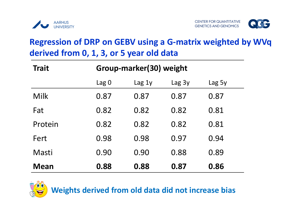



#### **Regression of DRP on GEBV using <sup>a</sup> G‐matrix weighted by WVq derived from 0, 1, 3, or 5 year old data**

| <b>Trait</b> | Group-marker(30) weight |        |        |        |  |  |
|--------------|-------------------------|--------|--------|--------|--|--|
|              | Lag <sub>0</sub>        | Lag 1y | Lag 3y | Lag 5y |  |  |
| Milk         | 0.87                    | 0.87   | 0.87   | 0.87   |  |  |
| Fat          | 0.82                    | 0.82   | 0.82   | 0.81   |  |  |
| Protein      | 0.82                    | 0.82   | 0.82   | 0.81   |  |  |
| Fert         | 0.98                    | 0.98   | 0.97   | 0.94   |  |  |
| Masti        | 0.90                    | 0.90   | 0.88   | 0.89   |  |  |
| Mean         | 0.88                    | 0.88   | 0.87   | 0.86   |  |  |



**Weights derived from old data did not increase bias**